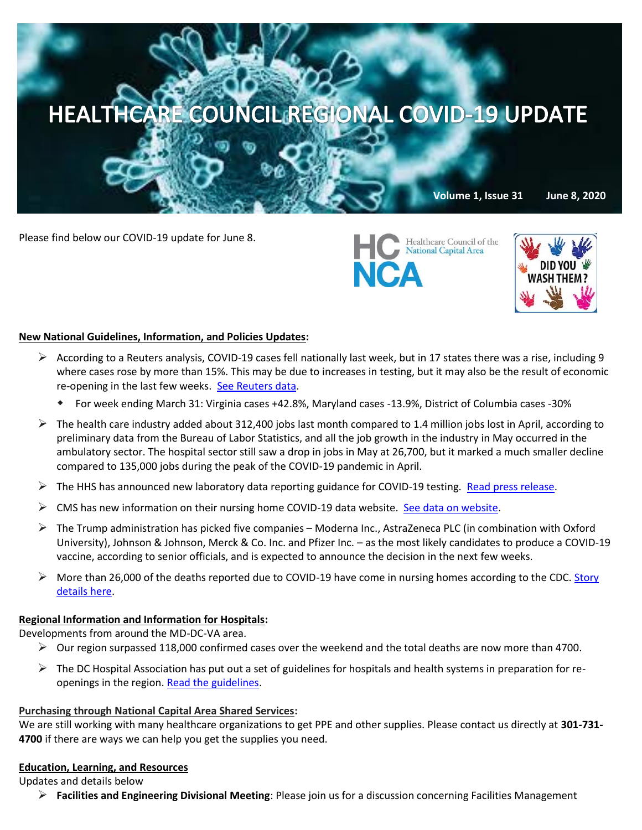

Please find below our COVID-19 update for June 8.





## **New National Guidelines, Information, and Policies Updates:**

- According to a Reuters analysis, COVID-19 cases fell nationally last week, but in 17 states there was a rise, including 9 where cases rose by more than 15%. This may be due to increases in testing, but it may also be the result of economic re-opening in the last few weeks. [See Reuters data.](https://graphics.reuters.com/HEALTH-CORONAVIRUS/USA-TRENDS/dgkvlgkrkpb/index.html)
	- For week ending March 31: Virginia cases +42.8%, Maryland cases -13.9%, District of Columbia cases -30%
- $\triangleright$  The health care industry added about 312,400 jobs last month compared to 1.4 million jobs lost in April, according to preliminary data from the Bureau of Labor Statistics, and all the job growth in the industry in May occurred in the ambulatory sector. The hospital sector still saw a drop in jobs in May at 26,700, but it marked a much smaller decline compared to 135,000 jobs during the peak of the COVID-19 pandemic in April.
- $\triangleright$  The HHS has announced new laboratory data reporting guidance for COVID-19 testing. [Read press release.](https://www.cdc.gov/media/releases/2020/p0604-new-lab-data-reporting.html?deliveryName=USCDC_1_3-DM30052)
- $\triangleright$  CMS has new information on their nursing home COVID-19 data website. [See data on website.](https://data.cms.gov/stories/s/COVID-19-Nursing-Home-Data/bkwz-xpvg)
- $\triangleright$  The Trump administration [has picked five companies](https://c.morningconsult.com/HT0030M0fCCWlA50VfA00Oz#_blank) Moderna Inc., AstraZeneca PLC (in combination with Oxford University), Johnson & Johnson, Merck & Co. Inc. and Pfizer Inc. – as the most likely candidates to produce a COVID-19 vaccine, according to senior officials, and is expected to announce the decision in the next few weeks.
- More than 26,000 of the deaths reported due to COVID-19 have come in nursing homes according to the CDC. Story [details here.](https://apnews.com/88c5e40b4ad12dd37843aee1b25f08e0?mkt_tok=eyJpIjoiWm1JeU5HUTFNREEzTkdJNCIsInQiOiJhZTcyRjJ6TEFjSm5YZG04ZUNocExOaWY2aGQxZnpETzhwczArNDUxaDdOWENqMlhqK0l6UE03NFVSUUFzemNqTmpiZUZcL00wc3hQNEVpNENaQzJuVkZoS1J1UktpKzdqTDZubWpjbEN1d3BDcE9BYzFONVZ4SVdiWWNnbVwvb094In0=)

### **Regional Information and Information for Hospitals:**

Developments from around the MD-DC-VA area.

- $\triangleright$  Our region surpassed 118,000 confirmed cases over the weekend and the total deaths are now more than 4700.
- $\triangleright$  The DC Hospital Association has put out a set of guidelines for hospitals and health systems in preparation for reopenings in the region. [Read the guidelines.](https://mcusercontent.com/67e7a773996f97d87b3be7633/files/a12c7e98-12b3-4e85-ba0b-fa73204eccee/5.28.20_ReOpen_DC_final.pdf)

### **Purchasing through National Capital Area Shared Services:**

We are still working with many healthcare organizations to get PPE and other supplies. Please contact us directly at **301-731- 4700** if there are ways we can help you get the supplies you need.

### **Education, Learning, and Resources**

### Updates and details below

**Facilities and Engineering Divisional Meeting**: Please join us for a discussion concerning Facilities Management